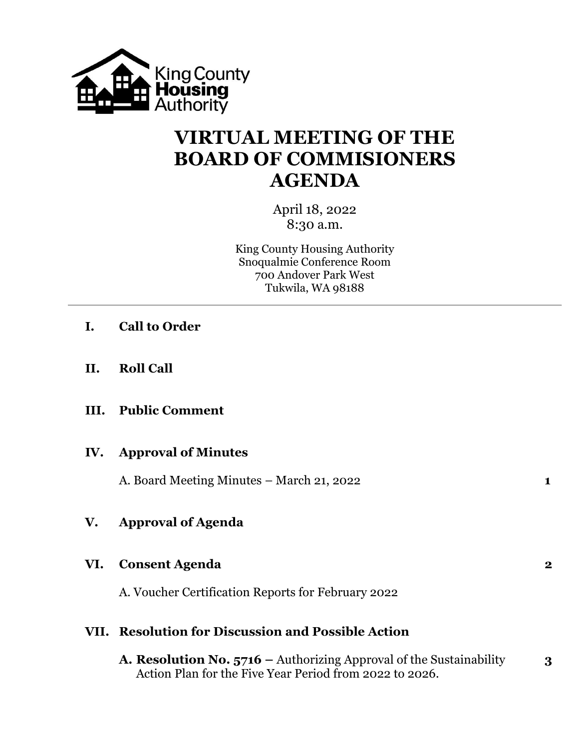

## **VIRTUAL MEETING OF THE BOARD OF COMMISIONERS AGENDA**

April 18, 2022 8:30 a.m.

King County Housing Authority Snoqualmie Conference Room 700 Andover Park West Tukwila, WA 98188

- **I. Call to Order**
- **II. Roll Call**
- **III. Public Comment**

#### **IV. Approval of Minutes**

A. Board Meeting Minutes – March 21, 2022 **1**

### **V. Approval of Agenda**

#### **VI. Consent Agenda 2**

A. Voucher Certification Reports for February 2022

#### **VII. Resolution for Discussion and Possible Action**

**A. Resolution No. 5716 –** Authorizing Approval of the Sustainability **3** Action Plan for the Five Year Period from 2022 to 2026.